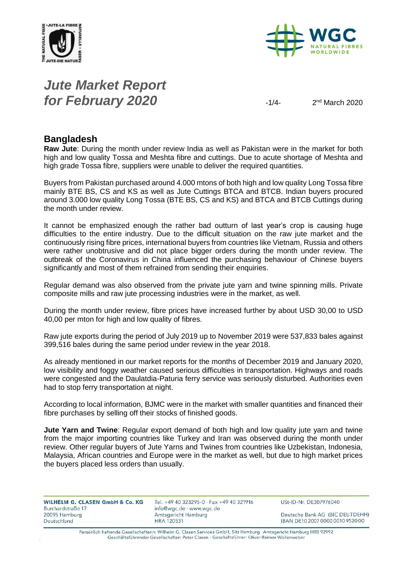



# *Jute Market Report for February 2020*  $\frac{1}{4}$

 $2<sup>nd</sup> March 2020$ 

### **Bangladesh**

**Raw Jute**: During the month under review India as well as Pakistan were in the market for both high and low quality Tossa and Meshta fibre and cuttings. Due to acute shortage of Meshta and high grade Tossa fibre, suppliers were unable to deliver the required quantities.

Buyers from Pakistan purchased around 4.000 mtons of both high and low quality Long Tossa fibre mainly BTE BS, CS and KS as well as Jute Cuttings BTCA and BTCB. Indian buyers procured around 3.000 low quality Long Tossa (BTE BS, CS and KS) and BTCA and BTCB Cuttings during the month under review.

It cannot be emphasized enough the rather bad outturn of last year's crop is causing huge difficulties to the entire industry. Due to the difficult situation on the raw jute market and the continuously rising fibre prices, international buyers from countries like Vietnam, Russia and others were rather unobtrusive and did not place bigger orders during the month under review. The outbreak of the Coronavirus in China influenced the purchasing behaviour of Chinese buyers significantly and most of them refrained from sending their enquiries.

Regular demand was also observed from the private jute yarn and twine spinning mills. Private composite mills and raw jute processing industries were in the market, as well.

During the month under review, fibre prices have increased further by about USD 30,00 to USD 40,00 per mton for high and low quality of fibres.

Raw jute exports during the period of July 2019 up to November 2019 were 537,833 bales against 399,516 bales during the same period under review in the year 2018.

As already mentioned in our market reports for the months of December 2019 and January 2020, low visibility and foggy weather caused serious difficulties in transportation. Highways and roads were congested and the Daulatdia-Paturia ferry service was seriously disturbed. Authorities even had to stop ferry transportation at night.

According to local information, BJMC were in the market with smaller quantities and financed their fibre purchases by selling off their stocks of finished goods.

**Jute Yarn and Twine**: Regular export demand of both high and low quality jute yarn and twine from the major importing countries like Turkey and Iran was observed during the month under review. Other regular buyers of Jute Yarns and Twines from countries like Uzbekistan, Indonesia, Malaysia, African countries and Europe were in the market as well, but due to high market prices the buyers placed less orders than usually.

| WILHELM G. CLASEN GmbH & Co. KG |  |  |
|---------------------------------|--|--|
| Burchardstraße 17               |  |  |
| 20095 Hamburg                   |  |  |
| Deutschland                     |  |  |

Tel. +49 40 323295-0 · Fax +49 40 321916 info@wgc.de · www.wgc.de Amtsgericht Hamburg **HRA 120531** 

USt-ID-Nr. DE307976040

Deutsche Bank AG (BIC DEUTDEHH) IBAN DE10 2007 0000 0010 9520 00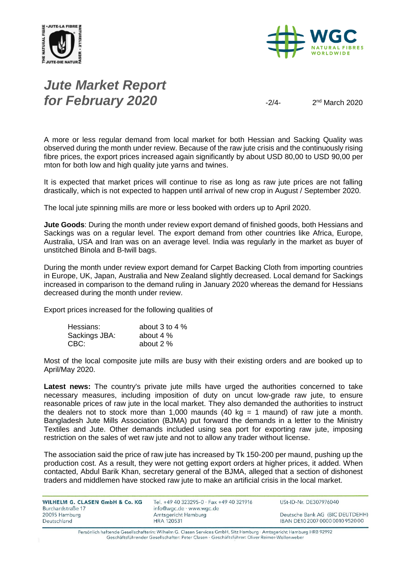



# *Jute Market Report for February 2020*

 $2<sup>nd</sup> March 2020$ 

A more or less regular demand from local market for both Hessian and Sacking Quality was observed during the month under review. Because of the raw jute crisis and the continuously rising fibre prices, the export prices increased again significantly by about USD 80,00 to USD 90,00 per mton for both low and high quality jute yarns and twines.

It is expected that market prices will continue to rise as long as raw jute prices are not falling drastically, which is not expected to happen until arrival of new crop in August / September 2020.

The local jute spinning mills are more or less booked with orders up to April 2020.

**Jute Goods**: During the month under review export demand of finished goods, both Hessians and Sackings was on a regular level. The export demand from other countries like Africa, Europe, Australia, USA and Iran was on an average level. India was regularly in the market as buyer of unstitched Binola and B-twill bags.

During the month under review export demand for Carpet Backing Cloth from importing countries in Europe, UK, Japan, Australia and New Zealand slightly decreased. Local demand for Sackings increased in comparison to the demand ruling in January 2020 whereas the demand for Hessians decreased during the month under review.

Export prices increased for the following qualities of

| Hessians:     | about 3 to 4 $%$ |
|---------------|------------------|
| Sackings JBA: | about 4 %        |
| CBC:          | about 2 %        |

Most of the local composite jute mills are busy with their existing orders and are booked up to April/May 2020.

**Latest news:** The country's private jute mills have urged the authorities concerned to take necessary measures, including imposition of duty on uncut low-grade raw jute, to ensure reasonable prices of raw jute in the local market. They also demanded the authorities to instruct the dealers not to stock more than 1,000 maunds  $(40 \text{ kg} = 1 \text{ manual})$  of raw jute a month. Bangladesh Jute Mills Association (BJMA) put forward the demands in a letter to the Ministry Textiles and Jute. Other demands included using sea port for exporting raw jute, imposing restriction on the sales of wet raw jute and not to allow any trader without license.

The association said the price of raw jute has increased by Tk 150-200 per maund, pushing up the production cost. As a result, they were not getting export orders at higher prices, it added. When contacted, Abdul Barik Khan, secretary general of the BJMA, alleged that a section of dishonest traders and middlemen have stocked raw jute to make an artificial crisis in the local market.

| WILHELM G. CLASEN GmbH & Co. KG<br>Burchardstraße 17 | Tel. +49 40 323295-0 · Fax +49 40 321916<br>info@wgc.de · www.wgc.de | USt-ID-Nr. DE307976040           |
|------------------------------------------------------|----------------------------------------------------------------------|----------------------------------|
| 20095 Hamburg                                        | Amtsgericht Hamburg                                                  | Deutsche Bank AG (BIC DEUTDEHH)  |
| Deutschland                                          | <b>HRA 120531</b>                                                    | IBAN DE10 2007 0000 0010 9520 00 |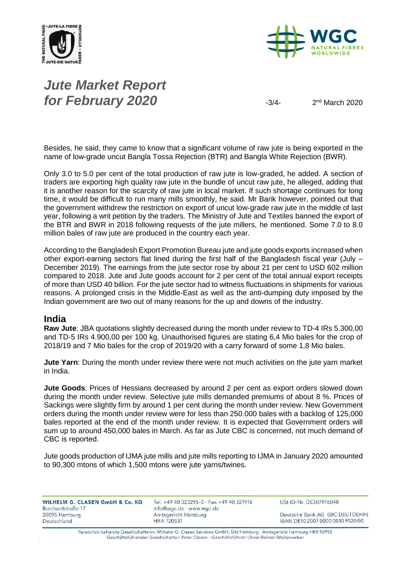



# *Jute Market Report for February 2020*  $\frac{3}{4}$

 $2<sup>nd</sup> March 2020$ 

Besides, he said, they came to know that a significant volume of raw jute is being exported in the name of low-grade uncut Bangla Tossa Rejection (BTR) and Bangla White Rejection (BWR).

Only 3.0 to 5.0 per cent of the total production of raw jute is low-graded, he added. A section of traders are exporting high quality raw jute in the bundle of uncut raw jute, he alleged, adding that it is another reason for the scarcity of raw jute in local market. If such shortage continues for long time, it would be difficult to run many mills smoothly, he said. Mr Barik however, pointed out that the government withdrew the restriction on export of uncut low-grade raw jute in the middle of last year, following a writ petition by the traders. The Ministry of Jute and Textiles banned the export of the BTR and BWR in 2018 following requests of the jute millers, he mentioned. Some 7.0 to 8.0 million bales of raw jute are produced in the country each year.

According to the Bangladesh Export Promotion Bureau jute and jute goods exports increased when other export-earning sectors flat lined during the first half of the Bangladesh fiscal year (July – December 2019). The earnings from the jute sector rose by about 21 per cent to USD 602 million compared to 2018. Jute and Jute goods account for 2 per cent of the total annual export receipts of more than USD 40 billion. For the jute sector had to witness fluctuations in shipments for various reasons. A prolonged crisis in the Middle-East as well as the anti-dumping duty imposed by the Indian government are two out of many reasons for the up and downs of the industry.

#### **India**

**Raw Jute**: JBA quotations slightly decreased during the month under review to TD-4 IRs 5.300,00 and TD-5 IRs 4.900,00 per 100 kg. Unauthorised figures are stating 6,4 Mio bales for the crop of 2018/19 and 7 Mio bales for the crop of 2019/20 with a carry forward of some 1,8 Mio bales.

**Jute Yarn**: During the month under review there were not much activities on the jute yarn market in India.

**Jute Goods**: Prices of Hessians decreased by around 2 per cent as export orders slowed down during the month under review. Selective jute mills demanded premiums of about 8 %. Prices of Sackings were slightly firm by around 1 per cent during the month under review. New Government orders during the month under review were for less than 250.000 bales with a backlog of 125,000 bales reported at the end of the month under review. It is expected that Government orders will sum up to around 450,000 bales in March. As far as Jute CBC is concerned, not much demand of CBC is reported.

Jute goods production of IJMA jute mills and jute mills reporting to IJMA in January 2020 amounted to 90,300 mtons of which 1,500 mtons were jute yarns/twines.

| WILHELM G. CLASEN GmbH & Co. KG | Tel. +49 40 323295-0 · Fax +49 40 321916 | USt-ID-Nr. DE307976040           |
|---------------------------------|------------------------------------------|----------------------------------|
| Burchardstraße 17               | info@wgc.de · www.wgc.de                 |                                  |
| 20095 Hamburg                   | Amtsgericht Hamburg                      | Deutsche Bank AG (BIC DEUTDEHH)  |
| Deutschland                     | <b>HRA 120531</b>                        | IBAN DE10 2007 0000 0010 9520 00 |
|                                 |                                          |                                  |